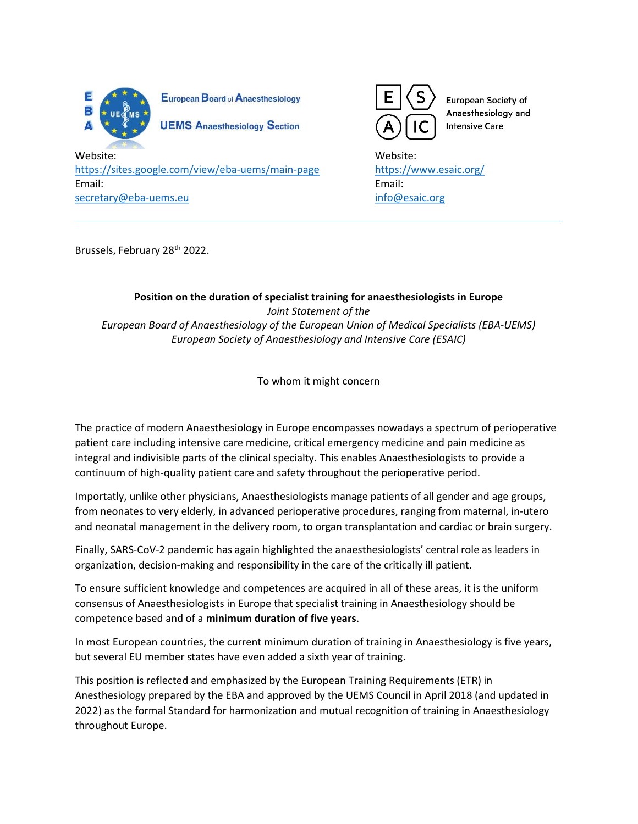

European Board of Anaesthesiology

**UEMS Anaesthesiology Section** 



European Society of Anaesthesiology and **Intensive Care** 

Website: Website: https://sites.google.com/view/eba-uems/main-page https://www.esaic.org/ Email: Email: secretary@eba-uems.eu info@esaic.org info@esaic.org

Brussels, February 28<sup>th</sup> 2022.

Position on the duration of specialist training for anaesthesiologists in Europe Joint Statement of the European Board of Anaesthesiology of the European Union of Medical Specialists (EBA-UEMS) European Society of Anaesthesiology and Intensive Care (ESAIC)

To whom it might concern

The practice of modern Anaesthesiology in Europe encompasses nowadays a spectrum of perioperative patient care including intensive care medicine, critical emergency medicine and pain medicine as integral and indivisible parts of the clinical specialty. This enables Anaesthesiologists to provide a continuum of high-quality patient care and safety throughout the perioperative period.

Importatly, unlike other physicians, Anaesthesiologists manage patients of all gender and age groups, from neonates to very elderly, in advanced perioperative procedures, ranging from maternal, in-utero and neonatal management in the delivery room, to organ transplantation and cardiac or brain surgery.

Finally, SARS-CoV-2 pandemic has again highlighted the anaesthesiologists' central role as leaders in organization, decision-making and responsibility in the care of the critically ill patient.

To ensure sufficient knowledge and competences are acquired in all of these areas, it is the uniform consensus of Anaesthesiologists in Europe that specialist training in Anaesthesiology should be competence based and of a minimum duration of five years.

In most European countries, the current minimum duration of training in Anaesthesiology is five years, but several EU member states have even added a sixth year of training.

This position is reflected and emphasized by the European Training Requirements (ETR) in Anesthesiology prepared by the EBA and approved by the UEMS Council in April 2018 (and updated in 2022) as the formal Standard for harmonization and mutual recognition of training in Anaesthesiology throughout Europe.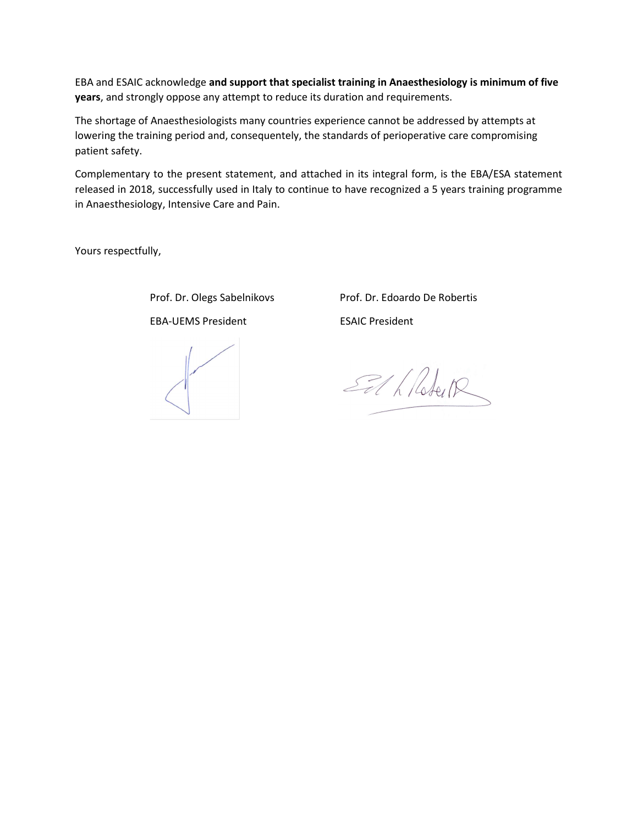EBA and ESAIC acknowledge and support that specialist training in Anaesthesiology is minimum of five years, and strongly oppose any attempt to reduce its duration and requirements.

The shortage of Anaesthesiologists many countries experience cannot be addressed by attempts at lowering the training period and, consequentely, the standards of perioperative care compromising patient safety.

Complementary to the present statement, and attached in its integral form, is the EBA/ESA statement released in 2018, successfully used in Italy to continue to have recognized a 5 years training programme in Anaesthesiology, Intensive Care and Pain.

Yours respectfully,

 Prof. Dr. Olegs Sabelnikovs Prof. Dr. Edoardo De Robertis EBA-UEMS President ESAIC President

El h Robert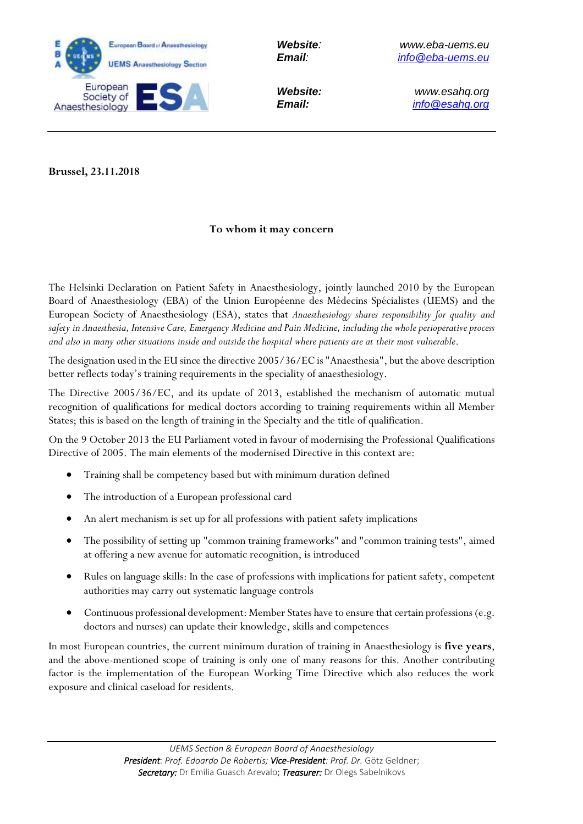

*Website: www.esahq.org Email: info@esahq.org*

**Brussel, 23.11.2018**

## **To whom it may concern**

The Helsinki Declaration on Patient Safety in Anaesthesiology, jointly launched 2010 by the European Board of Anaesthesiology (EBA) of the Union Européenne des Médecins Spécialistes (UEMS) and the European Society of Anaesthesiology (ESA), states that *Anaesthesiology shares responsibility for quality and safety in Anaesthesia, Intensive Care, Emergency Medicine and Pain Medicine, including the whole perioperative process and also in many other situations inside and outside the hospital where patients are at their most vulnerable*.

The designation used in the EU since the directive 2005/36/EC is "Anaesthesia", but the above description better reflects today's training requirements in the speciality of anaesthesiology.

The Directive 2005/36/EC, and its update of 2013, established the mechanism of automatic mutual recognition of qualifications for medical doctors according to training requirements within all Member States; this is based on the length of training in the Specialty and the title of qualification.

On the 9 October 2013 the EU Parliament voted in favour of modernising the Professional Qualifications Directive of 2005. The main elements of the modernised Directive in this context are:

- Training shall be competency based but with minimum duration defined
- The introduction of a European professional card
- An alert mechanism is set up for all professions with patient safety implications
- The possibility of setting up "common training frameworks" and "common training tests", aimed at offering a new avenue for automatic recognition, is introduced
- Rules on language skills: In the case of professions with implications for patient safety, competent authorities may carry out systematic language controls
- Continuous professional development: Member States have to ensure that certain professions (e.g. doctors and nurses) can update their knowledge, skills and competences

In most European countries, the current minimum duration of training in Anaesthesiology is **five years**, and the above-mentioned scope of training is only one of many reasons for this. Another contributing factor is the implementation of the European Working Time Directive which also reduces the work exposure and clinical caseload for residents.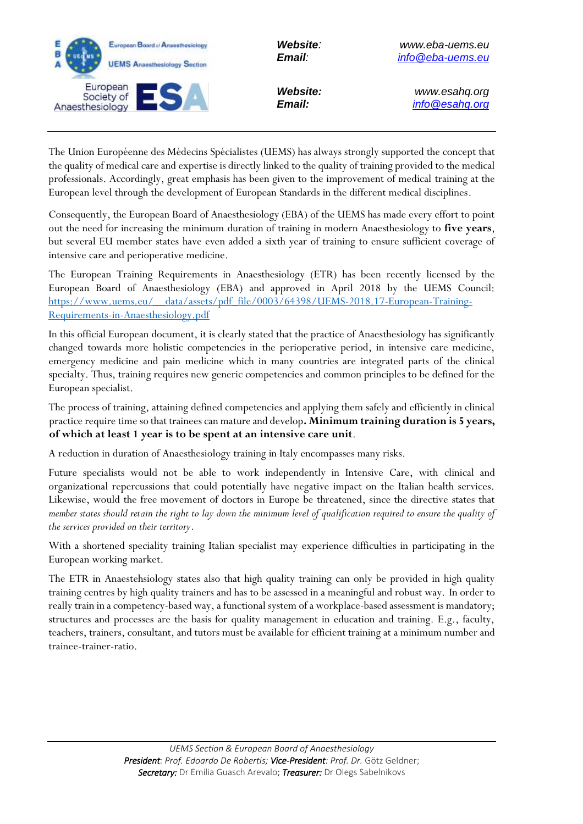

*Website: www.esahq.org Email: info@esahq.org*

The Union Européenne des Médecins Spécialistes (UEMS) has always strongly supported the concept that the quality of medical care and expertise is directly linked to the quality of training provided to the medical professionals. Accordingly, great emphasis has been given to the improvement of medical training at the European level through the development of European Standards in the different medical disciplines.

Consequently, the European Board of Anaesthesiology (EBA) of the UEMS has made every effort to point out the need for increasing the minimum duration of training in modern Anaesthesiology to **five years**, but several EU member states have even added a sixth year of training to ensure sufficient coverage of intensive care and perioperative medicine.

The European Training Requirements in Anaesthesiology (ETR) has been recently licensed by the European Board of Anaesthesiology (EBA) and approved in April 2018 by the UEMS Council: [https://www.uems.eu/\\_\\_data/assets/pdf\\_file/0003/64398/UEMS-2018.17-European-Training-](https://www.uems.eu/__data/assets/pdf_file/0003/64398/UEMS-2018.17-European-Training-Requirements-in-Anaesthesiology.pdf)[Requirements-in-Anaesthesiology.pdf](https://www.uems.eu/__data/assets/pdf_file/0003/64398/UEMS-2018.17-European-Training-Requirements-in-Anaesthesiology.pdf)

In this official European document, it is clearly stated that the practice of Anaesthesiology has significantly changed towards more holistic competencies in the perioperative period, in intensive care medicine, emergency medicine and pain medicine which in many countries are integrated parts of the clinical specialty. Thus, training requires new generic competencies and common principles to be defined for the European specialist.

The process of training, attaining defined competencies and applying them safely and efficiently in clinical practice require time so that trainees can mature and develop**. Minimum training duration is 5 years, of which at least 1 year is to be spent at an intensive care unit**.

A reduction in duration of Anaesthesiology training in Italy encompasses many risks.

Future specialists would not be able to work independently in Intensive Care, with clinical and organizational repercussions that could potentially have negative impact on the Italian health services. Likewise, would the free movement of doctors in Europe be threatened, since the directive states that *member states should retain the right to lay down the minimum level of qualification required to ensure the quality of the services provided on their territory*.

With a shortened speciality training Italian specialist may experience difficulties in participating in the European working market.

The ETR in Anaestehsiology states also that high quality training can only be provided in high quality training centres by high quality trainers and has to be assessed in a meaningful and robust way. In order to really train in a competency-based way, a functional system of a workplace-based assessment is mandatory; structures and processes are the basis for quality management in education and training. E.g., faculty, teachers, trainers, consultant, and tutors must be available for efficient training at a minimum number and trainee-trainer-ratio.